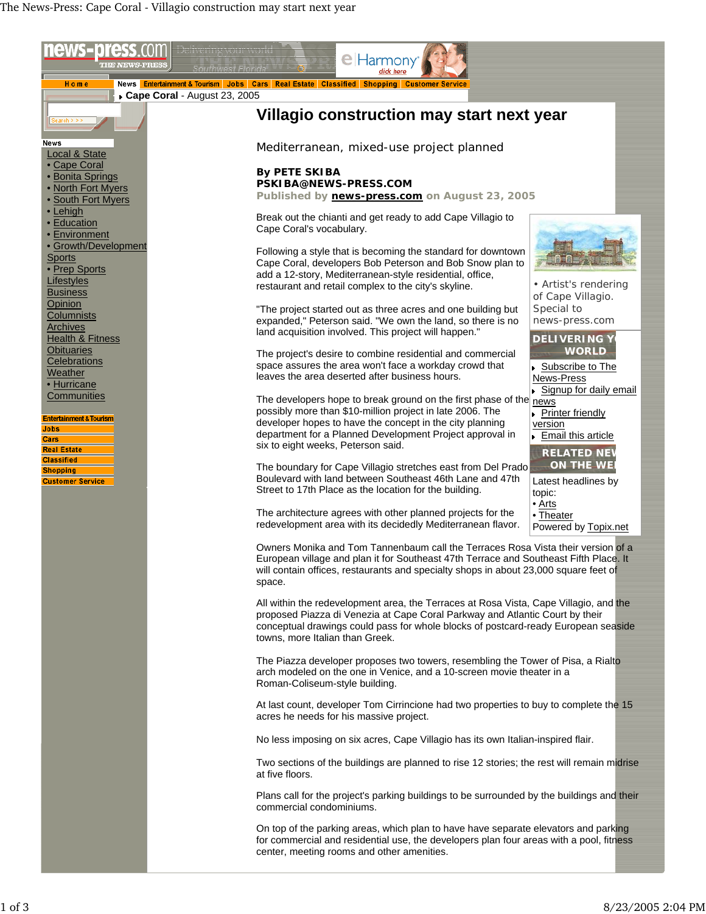